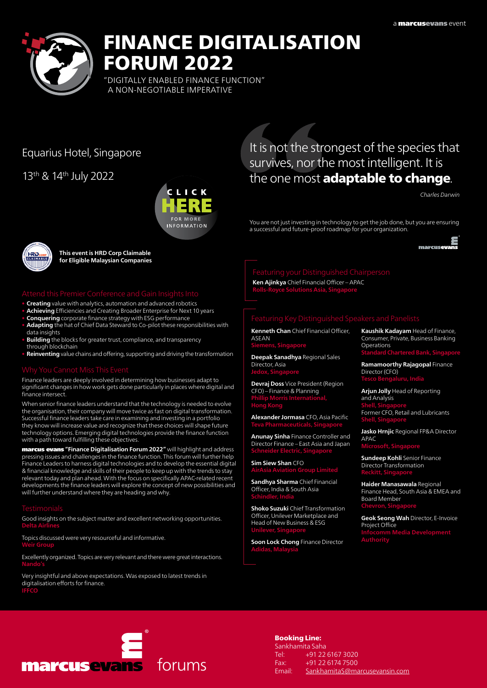

# FINANCE DIGITALISATION FORUM 2022

"DIGITALLY ENABLED FINANCE FUNCTION" A NON-NEGOTIABLE IMPERATIVE

# Equarius Hotel, Singapore

13th & 14th July 2022



It is not the strongest of the species that survives, nor the most intelligent. It is the one most **adaptable to change**.

*Charles Darwin*

You are not just investing in technology to get the job done, but you are ensuring a successful and future-proof roadmap for your organization.



**This event is HRD Corp Claimable for Eligible Malaysian Companies**

- **Creating** value with analytics, automation and advanced robotics
- Achieving Efficiencies and Creating Broader Enterprise for Next 10 years
- **Conquering** corporate finance strategy with ESG performance
- Adapting the hat of Chief Data Steward to Co-pilot these responsibilities with data insights
- **Building** the blocks for greater trust, compliance, and transparency through blockchain
- Reinventing value chains and offering, supporting and driving the transformation

Finance leaders are deeply involved in determining how businesses adapt to significant changes in how work gets done particularly in places where digital and finance intersect.

When senior finance leaders understand that the technology is needed to evolve the organisation, their company will move twice as fast on digital transformation. Successful finance leaders take care in examining and investing in a portfolio they know will increase value and recognize that these choices will shape future technology options. Emerging digital technologies provide the finance function with a path toward fulfilling these objectives.

marcus evans **"Finance Digitalisation Forum 2022"** will highlight and address pressing issues and challenges in the finance function. This forum will further help Finance Leaders to harness digital technologies and to develop the essential digital & financial knowledge and skills of their people to keep up with the trends to stay relevant today and plan ahead. With the focus on specifically APAC-related recent developments the finance leaders will explore the concept of new possibilities and will further understand where they are heading and why.

Good insights on the subject matter and excellent networking opportunities. **Delta Airlines**

Topics discussed were very resourceful and informative. **Weir Group** 

Excellently organized. Topics are very relevant and there were great interactions. **Nando's** 

Very insightful and above expectations. Was exposed to latest trends in digitalisation efforts for finance. **IFFCO**

# **Ken Ajinkya** Chief Financial Officer – APAC

**Rolls-Royce Solutions Asia, Singapore**

**Kenneth Chan** Chief Financial Officer, **ASEAN Siemens, Singapore**

**Deepak Sanadhya** Regional Sales Director, Asia **Jedox, Singapore**

**Devraj Doss** Vice President (Region CFO) – Finance & Planning **Phillip Morris International, Hong Kong**

**Alexander Jormasa** CFO, Asia Pacific **Teva Pharmaceuticals, Singapore**

**Anunay Sinha** Finance Controller and Director Finance – East Asia and Japan **Schneider Electric, Singapore**

**Sim Siew Shan** CFO **AirAsia Aviation Group Limited**

**Sandhya Sharma** Chief Financial Officer, India & South Asia **Schindler, India**

**Shoko Suzuki** Chief Transformation Officer, Unilever Marketplace and Head of New Business & ESG **Unilever, Singapore** 

**Soon Lock Chong** Finance Director

**Kaushik Kadayam** Head of Finance, Consumer, Private, Business Banking Operations **Standard Chartered Bank, Singapore**

**Ramamoorthy Rajagopal** Finance Director (CFO) **Tesco Bengaluru, India**

**Arjun Jolly** Head of Reporting and Analysis **Shell, Singapore** Former CFO, Retail and Lubricants **Shell, Singapore** 

**Jasko Hrnjic** Regional FP&A Director APAC **Microsoft, Singapore**

**Sundeep Kohli** Senior Finance Director Transformation **Reckitt, Singapore**

**Haider Manasawala** Regional Finance Head, South Asia & EMEA and Board Member **Chevron, Singapore** 

**Geok Seong Wah** Director, E-Invoice Project Office **Infocomm Media Development** 



Booking Line:

Sankhamita Saha Tel: +91 22 6167 3020 Fax: +91 22 6174 7500 Email: SankhamitaS@marcusevansin.com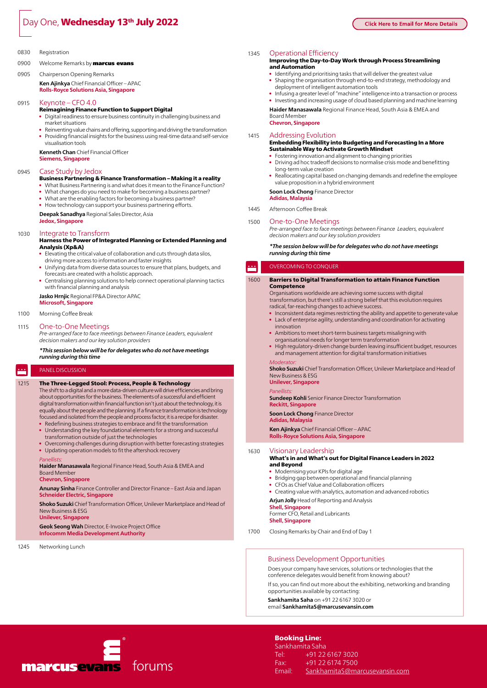# Day One, **Wednesday 13<sup>th</sup> July 2022**

### 0830 Registration

0900 Welcome Remarks by marcus evans

### 0905 Chairperson Opening Remarks

**Ken Ajinkya** Chief Financial Officer – APAC **Rolls-Royce Solutions Asia, Singapore**

### 0915 Keynote – CFO 4.0

### Reimagining Finance Function to Support Digital

- Digital readiness to ensure business continuity in challenging business and market situations
- Reinventing value chains and offering, supporting and driving the transformation • Providing financial insights for the business using real-time data and self-service

**Kenneth Chan** Chief Financial Officer **Siemens, Singapore**

### 0945 Case Study by Jedox

visualisation tools

- Business Partnering & Finance Transformation Making it a reality What Business Partnering is and what does it mean to the Finance Function?
- What changes do you need to make for becoming a business partner?
- What are the enabling factors for becoming a business partner?
- How technology can support your business partnering efforts.

**Deepak Sanadhya** Regional Sales Director, Asia **Jedox, Singapore**

### 1030 Integrate to Transform

### Harness the Power of Integrated Planning or Extended Planning and Analysis (Xp&A)

- Elevating the critical value of collaboration and cuts through data silos, driving more access to information and faster insights
- • Unifying data from diverse data sources to ensure that plans, budgets, and forecasts are created with a holistic approach.
- Centralising planning solutions to help connect operational planning tactics with financial planning and analysis

**Jasko Hrnjic** Regional FP&A Director APAC

## **Microsoft, Singapore**

### 1100 Morning Coffee Break

### 1115 One-to-One Meetings

*Pre-arranged face to face meetings between Finance Leaders, equivalent decision makers and our key solution providers* 

*\*This session below will be for delegates who do not have meetings running during this time* 

#### P Panel Discussion

### 1215 The Three-Legged Stool: Process, People & Technology

The shift to a digital and a more data-driven culture will drive efficiencies and bring about opportunities for the business. The elements of a successful and efficient digital transformation within financial function isn't just about the technology, it is equally about the people and the planning. If a finance transformation is technology focused and isolated from the people and process factor, it is a recipe for disaster.

- Redefining business strategies to embrace and fit the transformation • Understanding the key foundational elements for a strong and successful
- transformation outside of just the technologies
- Overcoming challenges during disruption with better forecasting strategies
- • Updating operation models to fit the aftershock recovery

#### *Panellists:*

**Haider Manasawala** Regional Finance Head, South Asia & EMEA and Board Member

# **Chevron, Singapore**

**Anunay Sinha** Finance Controller and Director Finance – East Asia and Japan **Schneider Electric, Singapore**

**Shoko Suzuki** Chief Transformation Officer, Unilever Marketplace and Head of New Business & ESG

**Unilever, Singapore**

**Geok Seong Wah** Director, E-Invoice Project Office **Infocomm Media Development Authority**

### 1245 Networking Lunch

## 1345 Operational Efficiency

### Improving the Day-to-Day Work through Process Streamlining and Automation

- Identifying and prioritising tasks that will deliver the greatest value Shaping the organisation through end-to-end strategy, methodology and
- deployment of intelligent automation tools Infusing a greater level of "machine" intelligence into a transaction or process
- Investing and increasing usage of cloud based planning and machine learning

**Haider Manasawala** Regional Finance Head, South Asia & EMEA and Board Member **Chevron, Singapore**

## 1415 Addressing Evolution

### Embedding Flexibility into Budgeting and Forecasting In a More Sustainable Way to Activate Growth Mindset

- Fostering innovation and alignment to changing priorities
- Driving ad hoc tradeoff decisions to normalise crisis mode and benefitting long-term value creation
- Reallocating capital based on changing demands and redefine the employee value proposition in a hybrid environment

**Soon Lock Chong** Finance Director

**Adidas, Malaysia**

1445 Afternoon Coffee Break

### 1500 One-to-One Meetings

*Pre-arranged face to face meetings between Finance Leaders, equivalent decision makers and our key solution providers* 

### *\*The session below will be for delegates who do not have meetings running during this time*

#### P OVERCOMING TO CONQUER

### 1600 Barriers to Digital Transformation to attain Finance Function Competence

Organisations worldwide are achieving some success with digital transformation, but there's still a strong belief that this evolution requires radical, far-reaching changes to achieve success.

- Inconsistent data regimes restricting the ability and appetite to generate value • Lack of enterprise agility, understanding and coordination for activating
- innovation • Ambitions to meet short-term business targets misaligning with
- organisational needs for longer term transformation High regulatory-driven change burden leaving insufficient budget, resources and management attention for digital transformation initiatives

#### *Moderator:*

**Shoko Suzuki** Chief Transformation Officer, Unilever Marketplace and Head of New Business & ESG

# **Unilever, Singapore**

*Panellists:* **Sundeep Kohli** Senior Finance Director Transformation

**Reckitt, Singapore Soon Lock Chong** Finance Director

**Adidas, Malaysia**

**Ken Ajinkya** Chief Financial Officer – APAC **Rolls-Royce Solutions Asia, Singapore**

### 1630 Visionary Leadership

### What's in and What's out for Digital Finance Leaders in 2022 and Beyond

- • Modernising your KPIs for digital age
- Bridging gap between operational and financial planning
- CFOs as Chief Value and Collaboration officers
- Creating value with analytics, automation and advanced robotics
- **Arjun Jolly** Head of Reporting and Analysis

**Shell, Singapore** Former CFO, Retail and Lubricants **Shell, Singapore**

1700 Closing Remarks by Chair and End of Day 1

### Business Development Opportunities

Does your company have services, solutions or technologies that the conference delegates would benefit from knowing about? If so, you can find out more about the exhibiting, networking and branding opportunities available by contacting:

**Sankhamita Saha** on +91 22 6167 3020 or email **SankhamitaS@marcusevansin.com**



Sankhamita Saha Tel: +91 22 6167 3020 Fax: +91 22 6174 7500 Email: SankhamitaS@marcusevansin.com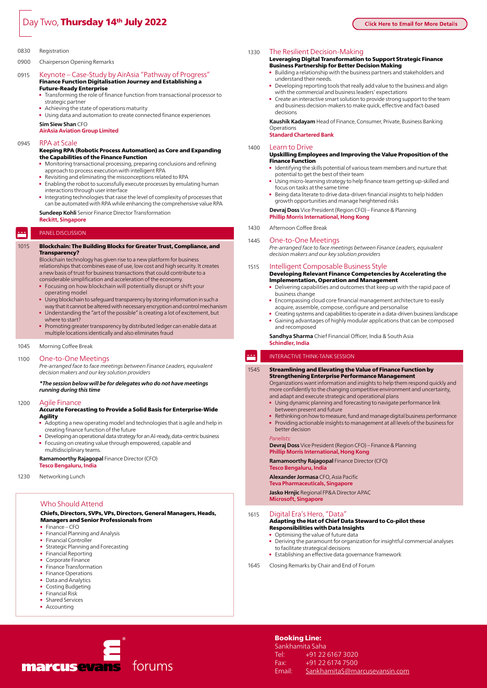# Day Two, Thursday 14<sup>th</sup> July 2022

0900 Chairperson Opening Remarks

- 0915 Keynote Case-Study by AirAsia "Pathway of Progress" Finance Function Digitalisation Journey and Establishing a Future-Ready Enterprise
	- Transforming the role of finance function from transactional processor to strategic partner
	- Achieving the state of operations maturity
	- Using data and automation to create connected finance experiences

**Sim Siew Shan** CFO

**AirAsia Aviation Group Limited**

### 0945 RPA at Scale

### Keeping RPA (Robotic Process Automation) as Core and Expanding the Capabilities of the Finance Function

- • Monitoring transactional processing, preparing conclusions and refining approach to process execution with intelligent RPA
- Revisiting and eliminating the misconceptions related to RPA
- Enabling the robot to successfully execute processes by emulating human interactions through user interface
- • Integrating technologies that raise the level of complexity of processes that can be automated with RPA while enhancing the comprehensive value RPA
- **Sundeep Kohli** Senior Finance Director Transformation **Reckitt, Singapore**

### Panel Discussion

P

# 1015 Blockchain: The Building Blocks for Greater Trust, Compliance, and

**Transparency?**<br>Blockchain technology has given rise to a new platform for business relationships that combines ease of use, low cost and high security. It creates a new basis of trust for business transactions that could contribute to a considerable simplification and acceleration of the economy.

- Focusing on how blockchain will potentially disrupt or shift your operating model
- Using blockchain to safeguard transparency by storing information in such a way that it cannot be altered with necessary encryption and control mechanism
- Understanding the "art of the possible" is creating a lot of excitement, but where to start?
- Promoting greater transparency by distributed ledger can enable data at multiple locations identically and also eliminates fraud

### 1045 Morning Coffee Break

### 1100 One-to-One Meetings

*Pre-arranged face to face meetings between Finance Leaders, equivalent decision makers and our key solution providers* 

*\*The session below will be for delegates who do not have meetings running during this time* 

### 1200 Agile Finance

### Accurate Forecasting to Provide a Solid Basis for Enterprise-Wide Agility

- Adopting a new operating model and technologies that is agile and help in creating finance function of the future
- Developing an operational data strategy for an AI-ready, data-centric business • Focusing on creating value through empowered, capable and multidisciplinary teams.

### **Ramamoorthy Rajagopal** Finance Director (CFO)

**Tesco Bengaluru, India**

1230 Networking Lunch

### Who Should Attend

### Chiefs, Directors, SVPs, VPs, Directors, General Managers, Heads, Managers and Senior Professionals from

- Finance-CFO
- • Financial Planning and Analysis
- • Financial Controller
- • Strategic Planning and Forecasting
- Financial Reporting • Corporate Finance
- Finance Transformation
- **Finance Operations**
- Data and Analytics
- Costing Budgeting
- **Financial Risk**
- Shared Services
- Accounting



1330 The Resilient Decision-Making

### Leveraging Digital Transformation to Support Strategic Finance Business Partnership for Better Decision Making

- • Building a relationship with the business partners and stakeholders and understand their needs.
- Developing reporting tools that really add value to the business and align with the commercial and business leaders' expectations
- Create an interactive smart solution to provide strong support to the team and business decision-makers to make quick, effective and fact-based decisions

**Kaushik Kadayam** Head of Finance, Consumer, Private, Business Banking Operations

**Standard Chartered Bank**

### 1400 Learn to Drive

### Upskilling Employees and Improving the Value Proposition of the Finance Function

- Identifying the skills potential of various team members and nurture that potential to get the best of their team
- • Using micro-learning strategy to help finance team getting up-skilled and focus on tasks at the same time
- Being data literate to drive data-driven financial insights to help hidden growth opportunities and manage heightened risks

**Devraj Doss** Vice President (Region CFO) – Finance & Planning **Phillip Morris International, Hong Kong**

### 1430 Afternoon Coffee Break

### 1445 One-to-One Meetings

*Pre-arranged face to face meetings between Finance Leaders, equivalent decision makers and our key solution providers* 

### 1515 Intelligent Composable Business Style

Developing Relevant Finance Competencies by Accelerating the **Implementation, Operation and Management**<br>• Delivering capabilities and outcomes that keep up

- • Delivering capabilities and outcomes that keep up with the rapid pace of business change
- Encompassing cloud core financial management architecture to easily acquire, assemble, compose, configure and personalise
- Creating systems and capabilities to operate in a data-driven business landscape Gaining advantages of highly modular applications that can be composed and recomposed

**Sandhya Sharma** Chief Financial Officer, India & South Asia **Schindler, India**

### Interactive Think-Tank Session

### 1545 Streamlining and Elevating the Value of Finance Function by Strengthening Enterprise Performance Management

Organizations want information and insights to help them respond quickly and more confidently to the changing competitive environment and uncertainty, and adapt and execute strategic and operational plans

- • Using dynamic planning and forecasting to navigate performance link between present and future
- Rethinking on how to measure, fund and manage digital business performance Providing actionable insights to management at all levels of the business for

# better decision

 $\blacksquare$ 

*Panelists:* **Devraj Doss** Vice President (Region CFO) – Finance & Planning **Phillip Morris International, Hong Kong**

**Ramamoorthy Rajagopal** Finance Director (CFO) **Tesco Bengaluru, India**

# **Alexander Jormasa** CFO, Asia Pacific

**Teva Pharmaceuticals, Singapore**

**Jasko Hrnjic** Regional FP&A Director APAC **Microsoft, Singapore**

- 1615 Digital Era's Hero, "Data" Adapting the Hat of Chief Data Steward to Co-pilot these Responsibilities with Data Insights
	- • Optimising the value of future data
	- Deriving the paramount for organization for insightful commercial analyses to facilitate strategical decisions
	- Establishing an effective data governance framework
- 1645 Closing Remarks by Chair and End of Forum

Booking Line: Sankhamita Saha

Tel: +91 22 6167 3020 Fax: +91 22 6174 7500 Email: SankhamitaS@marcusevansin.com